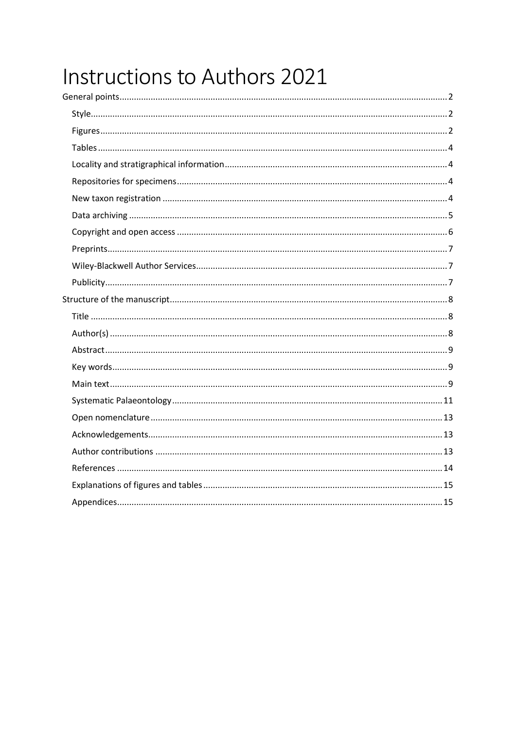# Instructions to Authors 2021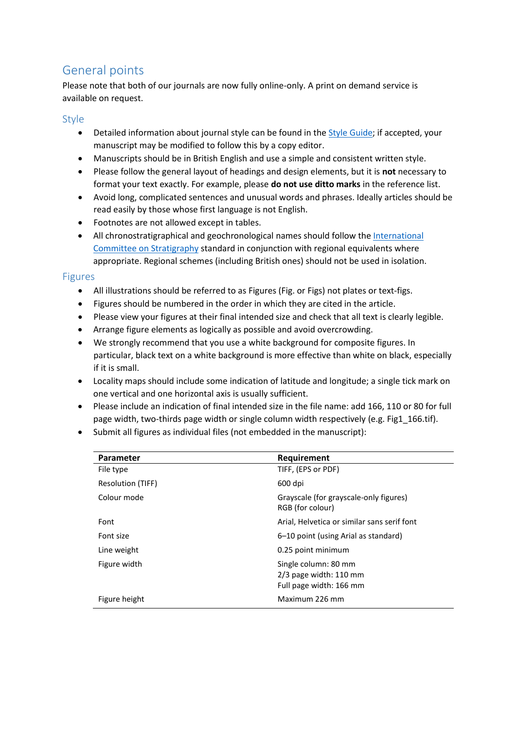# <span id="page-1-0"></span>General points

Please note that both of our journals are now fully online-only. A print on demand service is available on request.

#### <span id="page-1-1"></span>Style

- Detailed information about journal style can be found in the [Style Guide;](https://www.palass.org/publications/palaeontology-journal#for-authors) if accepted, your manuscript may be modified to follow this by a copy editor.
- Manuscripts should be in British English and use a simple and consistent written style.
- Please follow the general layout of headings and design elements, but it is **not** necessary to format your text exactly. For example, please **do not use ditto marks** in the reference list.
- Avoid long, complicated sentences and unusual words and phrases. Ideally articles should be read easily by those whose first language is not English.
- Footnotes are not allowed except in tables.
- All chronostratigraphical and geochronological names should follow th[e International](http://www.stratigraphy.org/)  [Committee on Stratigraphy](http://www.stratigraphy.org/) standard in conjunction with regional equivalents where appropriate. Regional schemes (including British ones) should not be used in isolation.

#### <span id="page-1-2"></span>Figures

- All illustrations should be referred to as Figures (Fig. or Figs) not plates or text-figs.
- Figures should be numbered in the order in which they are cited in the article.
- Please view your figures at their final intended size and check that all text is clearly legible.
- Arrange figure elements as logically as possible and avoid overcrowding.
- We strongly recommend that you use a white background for composite figures. In particular, black text on a white background is more effective than white on black, especially if it is small.
- Locality maps should include some indication of latitude and longitude; a single tick mark on one vertical and one horizontal axis is usually sufficient.
- Please include an indication of final intended size in the file name: add 166, 110 or 80 for full page width, two-thirds page width or single column width respectively (e.g. Fig1\_166.tif).
- Submit all figures as individual files (not embedded in the manuscript):

| Parameter         | Requirement                                                                 |
|-------------------|-----------------------------------------------------------------------------|
| File type         | TIFF, (EPS or PDF)                                                          |
| Resolution (TIFF) | 600 dpi                                                                     |
| Colour mode       | Grayscale (for grayscale-only figures)<br>RGB (for colour)                  |
| Font              | Arial, Helvetica or similar sans serif font                                 |
| Font size         | 6–10 point (using Arial as standard)                                        |
| Line weight       | 0.25 point minimum                                                          |
| Figure width      | Single column: 80 mm<br>$2/3$ page width: 110 mm<br>Full page width: 166 mm |
| Figure height     | Maximum 226 mm                                                              |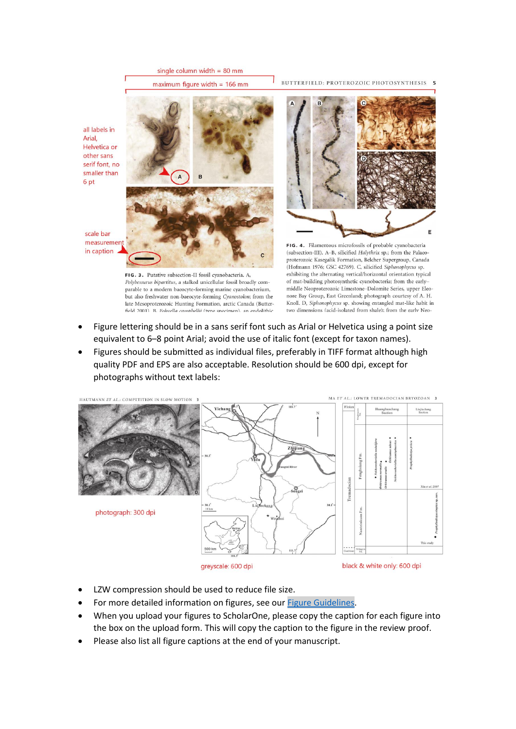

Polybessurus bipartitus, a stalked unicellular fossil broadly comparable to a modern baeocyte-forming marine cyanobacterium, but also freshwater non-baeocyte-forming Cyanostolon; from the late Mesoproterozoic Hunting Formation, arctic Canada (Butterfield 2001). B. Fohyella campbellii (type specimen), an endolithic

Arial,

6 pt

- of mat-building photosynthetic cyanobacteria; from the earlymiddle Neoproterozoic Limestone-Dolomite Series, upper Eleonore Bay Group, East Greenland; photograph courtesy of A. H. Knoll. D, Siphonophycus sp. showing entangled mat-like habit in two dimensions (acid-isolated from shale); from the early Neo-
- Figure lettering should be in a sans serif font such as Arial or Helvetica using a point size equivalent to 6–8 point Arial; avoid the use of italic font (except for taxon names).
- Figures should be submitted as individual files, preferably in TIFF format although high quality PDF and EPS are also acceptable. Resolution should be 600 dpi, except for photographs without text labels:



greyscale: 600 dpi

black & white only: 600 dpi

- LZW compression should be used to reduce file size.
- For more detailed information on figures, see our [Figure Guidelines.](https://www.palass.org/publications/palaeontology-journal#for-authors)
- When you upload your figures to ScholarOne, please copy the caption for each figure into the box on the upload form. This will copy the caption to the figure in the review proof.
- Please also list all figure captions at the end of your manuscript.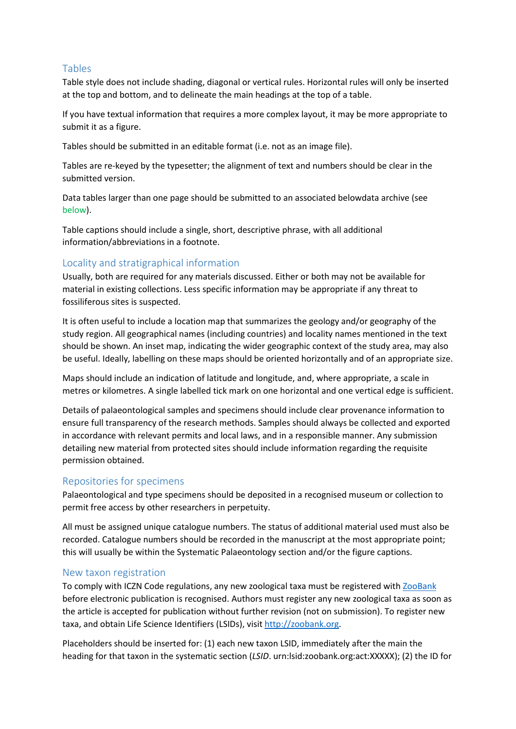#### <span id="page-3-0"></span>Tables

Table style does not include shading, diagonal or vertical rules. Horizontal rules will only be inserted at the top and bottom, and to delineate the main headings at the top of a table.

If you have textual information that requires a more complex layout, it may be more appropriate to submit it as a figure.

Tables should be submitted in an editable format (i.e. not as an image file).

Tables are re-keyed by the typesetter; the alignment of text and numbers should be clear in the submitted version.

Data tables larger than one page should be submitted to an associated [belowd](#page-4-0)ata archive (see [below\)](#page-4-0).

Table captions should include a single, short, descriptive phrase, with all additional information/abbreviations in a footnote.

# <span id="page-3-1"></span>Locality and stratigraphical information

Usually, both are required for any materials discussed. Either or both may not be available for material in existing collections. Less specific information may be appropriate if any threat to fossiliferous sites is suspected.

It is often useful to include a location map that summarizes the geology and/or geography of the study region. All geographical names (including countries) and locality names mentioned in the text should be shown. An inset map, indicating the wider geographic context of the study area, may also be useful. Ideally, labelling on these maps should be oriented horizontally and of an appropriate size.

Maps should include an indication of latitude and longitude, and, where appropriate, a scale in metres or kilometres. A single labelled tick mark on one horizontal and one vertical edge is sufficient.

Details of palaeontological samples and specimens should include clear provenance information to ensure full transparency of the research methods. Samples should always be collected and exported in accordance with relevant permits and local laws, and in a responsible manner. Any submission detailing new material from protected sites should include information regarding the requisite permission obtained.

# <span id="page-3-2"></span>Repositories for specimens

Palaeontological and type specimens should be deposited in a recognised museum or collection to permit free access by other researchers in perpetuity.

All must be assigned unique catalogue numbers. The status of additional material used must also be recorded. Catalogue numbers should be recorded in the manuscript at the most appropriate point; this will usually be within the Systematic Palaeontology section and/or the figure captions.

# <span id="page-3-3"></span>New taxon registration

To comply with ICZN Code regulations, any new zoological taxa must be registered with [ZooBank](http://zoobank.org/) before electronic publication is recognised. Authors must register any new zoological taxa as soon as the article is accepted for publication without further revision (not on submission). To register new taxa, and obtain Life Science Identifiers (LSIDs), visi[t http://zoobank.org.](http://zoobank.org/)

Placeholders should be inserted for: (1) each new taxon LSID, immediately after the main the heading for that taxon in the systematic section (*LSID*. urn:lsid:zoobank.org:act:XXXXX); (2) the ID for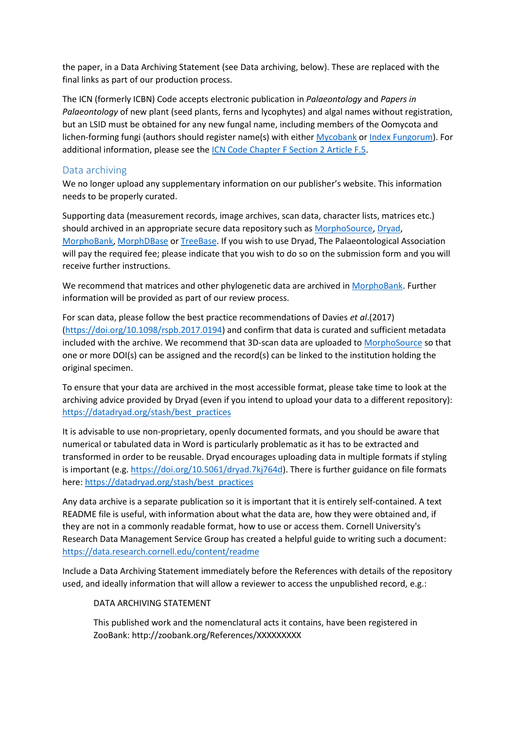the paper, in a Data Archiving Statement (see [Data archiving, below\)](#page-4-0). These are replaced with the final links as part of our production process.

The ICN (formerly ICBN) Code accepts electronic publication in *Palaeontology* and *Papers in Palaeontology* of new plant (seed plants, ferns and lycophytes) and algal names without registration, but an LSID must be obtained for any new fungal name, including members of the Oomycota and lichen-forming fungi (authors should register name(s) with either [Mycobank](http://www.mycobank.org/) or [Index Fungorum\)](http://www.indexfungorum.org/). For additional information, please see the [ICN Code Chapter F Section 2 Article F.5.](https://www.iapt-taxon.org/nomen/pages/main/art_f5.html)

#### <span id="page-4-0"></span>Data archiving

We no longer upload any supplementary information on our publisher's website. This information needs to be properly curated.

Supporting data (measurement records, image archives, scan data, character lists, matrices etc.) should archived in an appropriate secure data repository such as [MorphoSource,](https://www.morphosource.org/) [Dryad,](http://datadryad.org/) [MorphoBank,](http://morphobank.org/) [MorphDBase](https://www.morphdbase.de/) o[r TreeBase.](http://www.treebase.org/) If you wish to use Dryad, The Palaeontological Association will pay the required fee; please indicate that you wish to do so on the submission form and you will receive further instructions.

We recommend that matrices and other phylogenetic data are archived in [MorphoBank.](http://morphobank.org/) Further information will be provided as part of our review process.

For scan data, please follow the best practice recommendations of Davies *et al*.(2017) [\(https://doi.org/10.1098/rspb.2017.0194\)](https://doi.org/10.1098/rspb.2017.0194) and confirm that data is curated and sufficient metadata included with the archive. We recommend that 3D-scan data are uploaded to [MorphoSource](https://www.morphosource.org/) so that one or more DOI(s) can be assigned and the record(s) can be linked to the institution holding the original specimen.

To ensure that your data are archived in the most accessible format, please take time to look at the archiving advice provided by Dryad (even if you intend to upload your data to a different repository): [https://datadryad.org/stash/best\\_practices](https://datadryad.org/stash/best_practices)

It is advisable to use non-proprietary, openly documented formats, and you should be aware that numerical or tabulated data in Word is particularly problematic as it has to be extracted and transformed in order to be reusable. Dryad encourages uploading data in multiple formats if styling is important (e.g. [https://doi.org/10.5061/dryad.7kj764d\)](https://doi.org/10.5061/dryad.7kj764d). There is further guidance on file formats here: [https://datadryad.org/stash/best\\_practices](https://datadryad.org/stash/best_practices)

Any data archive is a separate publication so it is important that it is entirely self-contained. A text README file is useful, with information about what the data are, how they were obtained and, if they are not in a commonly readable format, how to use or access them. Cornell University's Research Data Management Service Group has created a helpful guide to writing such a document: <https://data.research.cornell.edu/content/readme>

Include a Data Archiving Statement immediately before the References with details of the repository used, and ideally information that will allow a reviewer to access the unpublished record, e.g.:

#### DATA ARCHIVING STATEMENT

This published work and the nomenclatural acts it contains, have been registered in ZooBank: http://zoobank.org/References/XXXXXXXXX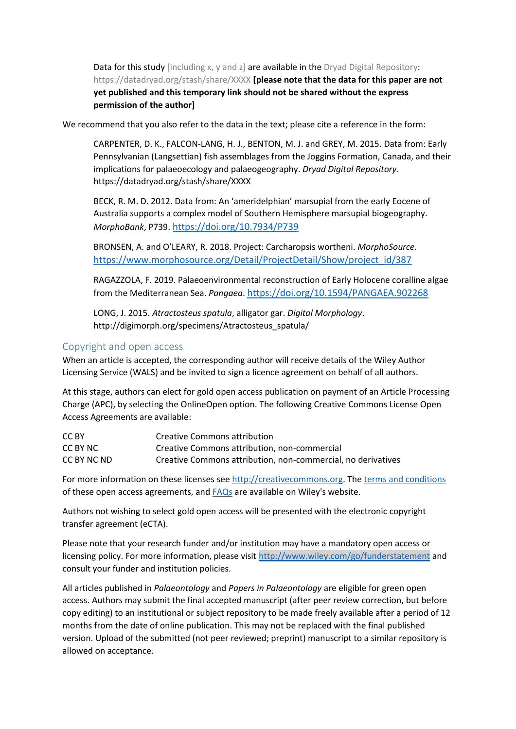Data for this study [including x, y and z] are available in the Dryad Digital Repository: https://datadryad.org/stash/share/XXXX **[please note that the data for this paper are not yet published and this temporary link should not be shared without the express permission of the author]**

We recommend that you also refer to the data in the text; please cite a reference in the form:

CARPENTER, D. K., FALCON-LANG, H. J., BENTON, M. J. and GREY, M. 2015. Data from: Early Pennsylvanian (Langsettian) fish assemblages from the Joggins Formation, Canada, and their implications for palaeoecology and palaeogeography. *Dryad Digital Repository*. https://datadryad.org/stash/share/XXXX

BECK, R. M. D. 2012. Data from: An 'ameridelphian' marsupial from the early Eocene of Australia supports a complex model of Southern Hemisphere marsupial biogeography. *MorphoBank*, P739. <https://doi.org/10.7934/P739>

BRONSEN, A. and O'LEARY, R. 2018. Project: Carcharopsis wortheni. *MorphoSource*. [https://www.morphosource.org/Detail/ProjectDetail/Show/project\\_id/387](https://www.morphosource.org/Detail/ProjectDetail/Show/project_id/387)

RAGAZZOLA, F. 2019. Palaeoenvironmental reconstruction of Early Holocene coralline algae from the Mediterranean Sea. *Pangaea*. <https://doi.org/10.1594/PANGAEA.902268>

LONG, J. 2015. *Atractosteus spatula*, alligator gar. *Digital Morphology*. http://digimorph.org/specimens/Atractosteus\_spatula/

#### <span id="page-5-0"></span>Copyright and open access

When an article is accepted, the corresponding author will receive details of the Wiley Author Licensing Service (WALS) and be invited to sign a licence agreement on behalf of all authors.

At this stage, authors can elect for gold open access publication on payment of an Article Processing Charge (APC), by selecting the OnlineOpen option. The following Creative Commons License Open Access Agreements are available:

| CC BY       | <b>Creative Commons attribution</b>                          |
|-------------|--------------------------------------------------------------|
| CC BY NC    | Creative Commons attribution, non-commercial                 |
| CC BY NC ND | Creative Commons attribution, non-commercial, no derivatives |

For more information on these licenses se[e http://creativecommons.org.](http://creativecommons.org/) The [terms and conditions](http://www.wileyopenaccess.com/details/content/12f25db4c87/Copyright--License.html) of these open access agreements, and [FAQs](http://authorservices.wiley.com/bauthor/faqs_copyright.asp) are available on Wiley's website.

Authors not wishing to select gold open access will be presented with the electronic copyright transfer agreement (eCTA).

Please note that your research funder and/or institution may have a mandatory open access or licensing policy. For more information, please visit<http://www.wiley.com/go/funderstatement> and consult your funder and institution policies.

All articles published in *Palaeontology* and *Papers in Palaeontology* are eligible for green open access. Authors may submit the final accepted manuscript (after peer review correction, but before copy editing) to an institutional or subject repository to be made freely available after a period of 12 months from the date of online publication. This may not be replaced with the final published version. Upload of the submitted (not peer reviewed; preprint) manuscript to a similar repository is allowed on acceptance.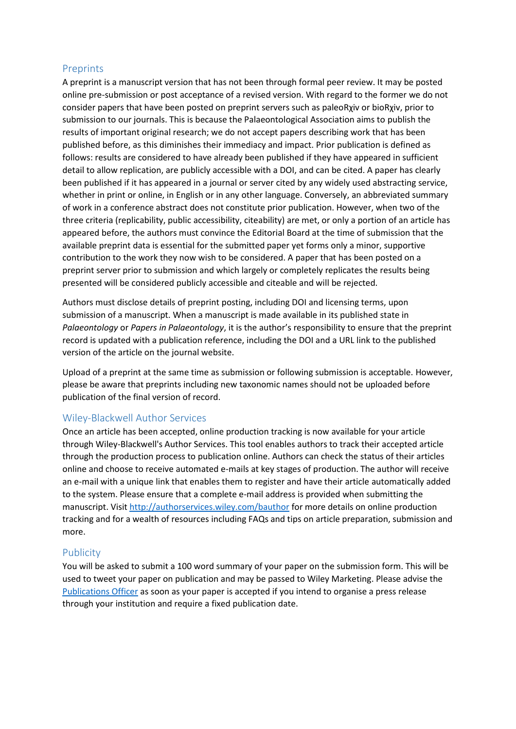#### <span id="page-6-0"></span>Preprints

A preprint is a manuscript version that has not been through formal peer review. It may be posted online pre-submission or post acceptance of a revised version. With regard to the former we do not consider papers that have been posted on preprint servers such as paleoRχiv or bioRχiv, prior to submission to our journals. This is because the Palaeontological Association aims to publish the results of important original research; we do not accept papers describing work that has been published before, as this diminishes their immediacy and impact. Prior publication is defined as follows: results are considered to have already been published if they have appeared in sufficient detail to allow replication, are publicly accessible with a DOI, and can be cited. A paper has clearly been published if it has appeared in a journal or server cited by any widely used abstracting service, whether in print or online, in English or in any other language. Conversely, an abbreviated summary of work in a conference abstract does not constitute prior publication. However, when two of the three criteria (replicability, public accessibility, citeability) are met, or only a portion of an article has appeared before, the authors must convince the Editorial Board at the time of submission that the available preprint data is essential for the submitted paper yet forms only a minor, supportive contribution to the work they now wish to be considered. A paper that has been posted on a preprint server prior to submission and which largely or completely replicates the results being presented will be considered publicly accessible and citeable and will be rejected.

Authors must disclose details of preprint posting, including DOI and licensing terms, upon submission of a manuscript. When a manuscript is made available in its published state in *Palaeontology* or *Papers in Palaeontology*, it is the author's responsibility to ensure that the preprint record is updated with a publication reference, including the DOI and a URL link to the published version of the article on the journal website.

Upload of a preprint at the same time as submission or following submission is acceptable. However, please be aware that preprints including new taxonomic names should not be uploaded before publication of the final version of record.

#### <span id="page-6-1"></span>Wiley-Blackwell Author Services

Once an article has been accepted, online production tracking is now available for your article through Wiley-Blackwell's Author Services. This tool enables authors to track their accepted article through the production process to publication online. Authors can check the status of their articles online and choose to receive automated e-mails at key stages of production. The author will receive an e-mail with a unique link that enables them to register and have their article automatically added to the system. Please ensure that a complete e-mail address is provided when submitting the manuscript. Visit<http://authorservices.wiley.com/bauthor> for more details on online production tracking and for a wealth of resources including FAQs and tips on article preparation, submission and more.

#### <span id="page-6-2"></span>Publicity

<span id="page-6-3"></span>You will be asked to submit a 100 word summary of your paper on the submission form. This will be used to tweet your paper on publication and may be passed to Wiley Marketing. Please advise the [Publications Officer](mailto:editor@palass.org) as soon as your paper is accepted if you intend to organise a press release through your institution and require a fixed publication date.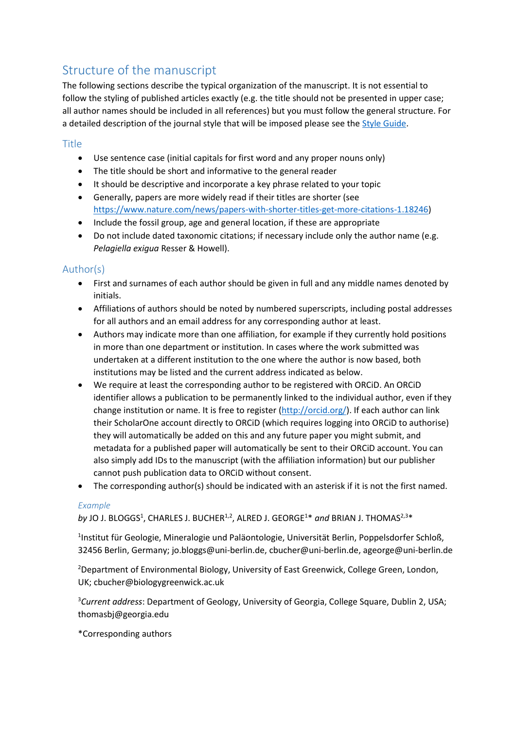# Structure of the manuscript

The following sections describe the typical organization of the manuscript. It is not essential to follow the styling of published articles exactly (e.g. the title should not be presented in upper case; all author names should be included in all references) but you must follow the general structure. For a detailed description of the journal style that will be imposed please see the [Style Guide.](https://www.palass.org/publications/palaeontology-journal#for-authors)

# <span id="page-7-0"></span>Title

- Use sentence case (initial capitals for first word and any proper nouns only)
- The title should be short and informative to the general reader
- It should be descriptive and incorporate a key phrase related to your topic
- Generally, papers are more widely read if their titles are shorter (see [https://www.nature.com/news/papers-with-shorter-titles-get-more-citations-1.18246\)](https://www.nature.com/news/papers-with-shorter-titles-get-more-citations-1.18246)
- Include the fossil group, age and general location, if these are appropriate
- Do not include dated taxonomic citations; if necessary include only the author name (e.g. *Pelagiella exigua* Resser & Howell).

# <span id="page-7-1"></span>Author(s)

- First and surnames of each author should be given in full and any middle names denoted by initials.
- Affiliations of authors should be noted by numbered superscripts, including postal addresses for all authors and an email address for any corresponding author at least.
- Authors may indicate more than one affiliation, for example if they currently hold positions in more than one department or institution. In cases where the work submitted was undertaken at a different institution to the one where the author is now based, both institutions may be listed and the current address indicated as below.
- We require at least the corresponding author to be registered with ORCiD. An ORCiD identifier allows a publication to be permanently linked to the individual author, even if they change institution or name. It is free to register [\(http://orcid.org/\)](http://orcid.org/). If each author can link their ScholarOne account directly to ORCiD (which requires logging into ORCiD to authorise) they will automatically be added on this and any future paper you might submit, and metadata for a published paper will automatically be sent to their ORCiD account. You can also simply add IDs to the manuscript (with the affiliation information) but our publisher cannot push publication data to ORCiD without consent.
- The corresponding author(s) should be indicated with an asterisk if it is not the first named.

#### *Example*

by JO J. BLOGGS<sup>1</sup>, CHARLES J. BUCHER<sup>1,2</sup>, ALRED J. GEORGE<sup>1\*</sup> and BRIAN J. THOMAS<sup>2,3\*</sup>

<sup>1</sup>Institut für Geologie, Mineralogie und Paläontologie, Universität Berlin, Poppelsdorfer Schloß, 32456 Berlin, Germany; jo.bloggs@uni-berlin.de, cbucher@uni-berlin.de, ageorge@uni-berlin.de

<sup>2</sup>Department of Environmental Biology, University of East Greenwick, College Green, London, UK; cbucher@biologygreenwick.ac.uk

<sup>3</sup>*Current address*: Department of Geology, University of Georgia, College Square, Dublin 2, USA; thomasbj@georgia.edu

\*Corresponding authors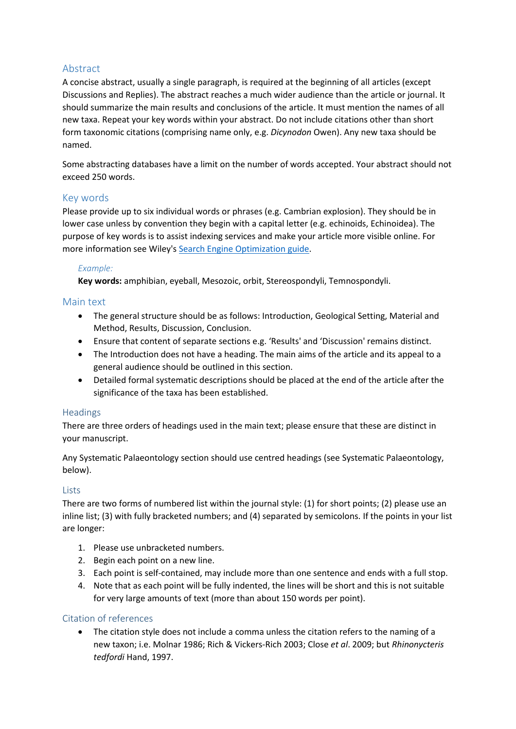# <span id="page-8-0"></span>Abstract

A concise abstract, usually a single paragraph, is required at the beginning of all articles (except Discussions and Replies). The abstract reaches a much wider audience than the article or journal. It should summarize the main results and conclusions of the article. It must mention the names of all new taxa. Repeat your key words within your abstract. Do not include citations other than short form taxonomic citations (comprising name only, e.g. *Dicynodon* Owen). Any new taxa should be named.

Some abstracting databases have a limit on the number of words accepted. Your abstract should not exceed 250 words.

# <span id="page-8-1"></span>Key words

Please provide up to six individual words or phrases (e.g. Cambrian explosion). They should be in lower case unless by convention they begin with a capital letter (e.g. echinoids, Echinoidea). The purpose of key words is to assist indexing services and make your article more visible online. For more information see Wiley's [Search Engine Optimization](http://olabout.wiley.com/WileyCDA/Section/id-828012.html) guide.

#### *Example:*

**Key words:** amphibian, eyeball, Mesozoic, orbit, Stereospondyli, Temnospondyli.

#### <span id="page-8-2"></span>Main text

- The general structure should be as follows: Introduction, Geological Setting, Material and Method, Results, Discussion, Conclusion.
- Ensure that content of separate sections e.g. 'Results' and 'Discussion' remains distinct.
- The Introduction does not have a heading. The main aims of the article and its appeal to a general audience should be outlined in this section.
- Detailed formal systematic descriptions should be placed at the end of the article after the significance of the taxa has been established.

#### <span id="page-8-3"></span>**Headings**

There are three orders of headings used in the main text; please ensure that these are distinct in your manuscript.

Any Systematic Palaeontology section should use centred headings (see [Systematic Palaeontology,](#page-10-0) [below\)](#page-10-0).

#### **Lists**

There are two forms of numbered list within the journal style: (1) for short points; (2) please use an inline list; (3) with fully bracketed numbers; and (4) separated by semicolons. If the points in your list are longer:

- 1. Please use unbracketed numbers.
- 2. Begin each point on a new line.
- 3. Each point is self-contained, may include more than one sentence and ends with a full stop.
- 4. Note that as each point will be fully indented, the lines will be short and this is not suitable for very large amounts of text (more than about 150 words per point).

#### Citation of references

• The citation style does not include a comma unless the citation refers to the naming of a new taxon; i.e. Molnar 1986; Rich & Vickers-Rich 2003; Close *et al*. 2009; but *Rhinonycteris tedfordi* Hand, 1997.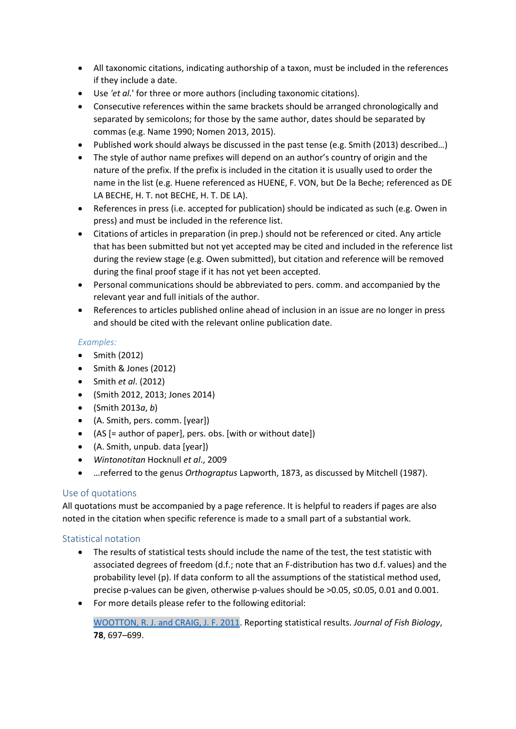- All taxonomic citations, indicating authorship of a taxon, must be included in the references if they include a date.
- Use *'et al.*' for three or more authors (including taxonomic citations).
- Consecutive references within the same brackets should be arranged chronologically and separated by semicolons; for those by the same author, dates should be separated by commas (e.g. Name 1990; Nomen 2013, 2015).
- Published work should always be discussed in the past tense (e.g. Smith (2013) described…)
- The style of author name prefixes will depend on an author's country of origin and the nature of the prefix. If the prefix is included in the citation it is usually used to order the name in the list (e.g. Huene referenced as HUENE, F. VON, but De la Beche; referenced as DE LA BECHE, H. T. not BECHE, H. T. DE LA).
- References in press (i.e. accepted for publication) should be indicated as such (e.g. Owen in press) and must be included in the reference list.
- Citations of articles in preparation (in prep.) should not be referenced or cited. Any article that has been submitted but not yet accepted may be cited and included in the reference list during the review stage (e.g. Owen submitted), but citation and reference will be removed during the final proof stage if it has not yet been accepted.
- Personal communications should be abbreviated to pers. comm. and accompanied by the relevant year and full initials of the author.
- References to articles published online ahead of inclusion in an issue are no longer in press and should be cited with the relevant online publication date.

# *Examples:*

- Smith (2012)
- Smith & Jones (2012)
- Smith *et al*. (2012)
- (Smith 2012, 2013; Jones 2014)
- (Smith 2013*a*, *b*)
- (A. Smith, pers. comm. [year])
- (AS [= author of paper], pers. obs. [with or without date])
- (A. Smith, unpub. data [year])
- *Wintonotitan* Hocknull *et al*., 2009
- …referred to the genus *Orthograptus* Lapworth, 1873, as discussed by Mitchell (1987).

# Use of quotations

All quotations must be accompanied by a page reference. It is helpful to readers if pages are also noted in the citation when specific reference is made to a small part of a substantial work.

# Statistical notation

- The results of statistical tests should include the name of the test, the test statistic with associated degrees of freedom (d.f.; note that an F-distribution has two d.f. values) and the probability level (p). If data conform to all the assumptions of the statistical method used, precise p-values can be given, otherwise p-values should be >0.05, ≤0.05, 0.01 and 0.001.
- For more details please refer to the following editorial:

[WOOTTON, R. J. and CRAIG, J. F. 2011.](http://dx.doi.org/%2010.1111/j.1095-8649.2011.02914.x) Reporting statistical results. *Journal of Fish Biology*, **78**, 697–699.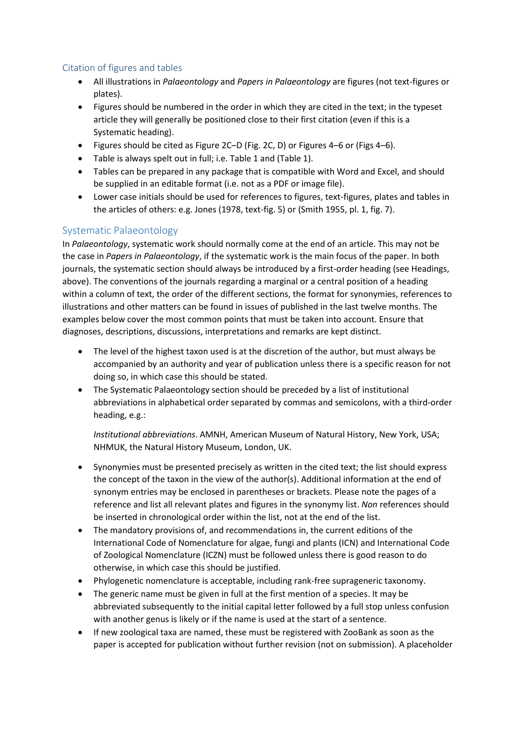#### Citation of figures and tables

- All illustrations in *Palaeontology* and *Papers in Palaeontology* are figures (not text-figures or plates).
- Figures should be numbered in the order in which they are cited in the text; in the typeset article they will generally be positioned close to their first citation (even if this is a Systematic heading).
- Figures should be cited as Figure 2C–D (Fig. 2C, D) or Figures 4–6 or (Figs 4–6).
- Table is always spelt out in full; i.e. Table 1 and (Table 1).
- Tables can be prepared in any package that is compatible with Word and Excel, and should be supplied in an editable format (i.e. not as a PDF or image file).
- Lower case initials should be used for references to figures, text-figures, plates and tables in the articles of others: e.g. Jones (1978, text-fig. 5) or (Smith 1955, pl. 1, fig. 7).

# <span id="page-10-0"></span>Systematic Palaeontology

In *Palaeontology*, systematic work should normally come at the end of an article. This may not be the case in *Papers in Palaeontology*, if the systematic work is the main focus of the paper. In both journals, the systematic section should always be introduced by a first-order heading (see [Headings,](#page-8-3) [above\)](#page-8-3). The conventions of the journals regarding a marginal or a central position of a heading within a column of text, the order of the different sections, the format for synonymies, references to illustrations and other matters can be found in issues of published in the last twelve months. The examples below cover the most common points that must be taken into account. Ensure that diagnoses, descriptions, discussions, interpretations and remarks are kept distinct.

- The level of the highest taxon used is at the discretion of the author, but must always be accompanied by an authority and year of publication unless there is a specific reason for not doing so, in which case this should be stated.
- The Systematic Palaeontology section should be preceded by a list of institutional abbreviations in alphabetical order separated by commas and semicolons, with a third-order heading, e.g.:

*Institutional abbreviations*. AMNH, American Museum of Natural History, New York, USA; NHMUK, the Natural History Museum, London, UK.

- Synonymies must be presented precisely as written in the cited text; the list should express the concept of the taxon in the view of the author(s). Additional information at the end of synonym entries may be enclosed in parentheses or brackets. Please note the pages of a reference and list all relevant plates and figures in the synonymy list. *Non* references should be inserted in chronological order within the list, not at the end of the list.
- The mandatory provisions of, and recommendations in, the current editions of the International Code of Nomenclature for algae, fungi and plants (ICN) and International Code of Zoological Nomenclature (ICZN) must be followed unless there is good reason to do otherwise, in which case this should be justified.
- Phylogenetic nomenclature is acceptable, including rank-free suprageneric taxonomy.
- The generic name must be given in full at the first mention of a species. It may be abbreviated subsequently to the initial capital letter followed by a full stop unless confusion with another genus is likely or if the name is used at the start of a sentence.
- If new zoological taxa are named, these must be registered with ZooBank as soon as the paper is accepted for publication without further revision (not on submission). A placeholder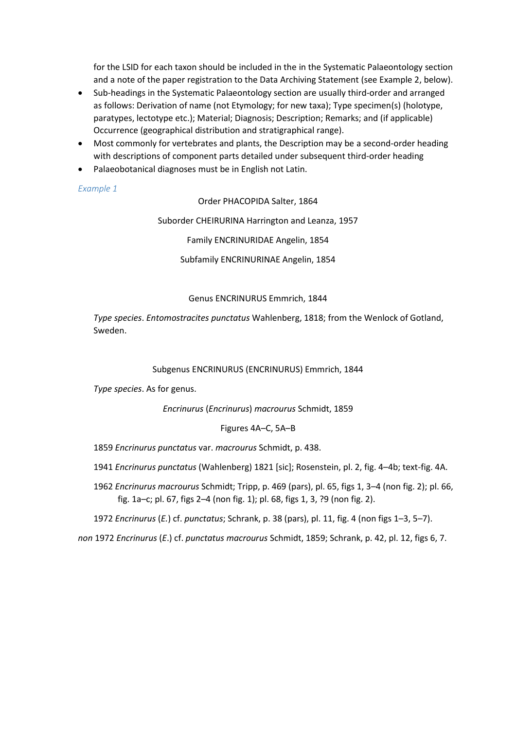for the LSID for each taxon should be included in the in the Systematic Palaeontology section and a note of the paper registration to the Data Archiving Statement (see Example 2, [below\)](#page-11-0).

- Sub-headings in the Systematic Palaeontology section are usually third-order and arranged as follows: Derivation of name (not Etymology; for new taxa); Type specimen(s) (holotype, paratypes, lectotype etc.); Material; Diagnosis; Description; Remarks; and (if applicable) Occurrence (geographical distribution and stratigraphical range).
- Most commonly for vertebrates and plants, the Description may be a second-order heading with descriptions of component parts detailed under subsequent third-order heading
- Palaeobotanical diagnoses must be in English not Latin.

#### *Example 1*

Order PHACOPIDA Salter, 1864

Suborder CHEIRURINA Harrington and Leanza, 1957

Family ENCRINURIDAE Angelin, 1854

Subfamily ENCRINURINAE Angelin, 1854

#### Genus ENCRINURUS Emmrich, 1844

*Type species*. *Entomostracites punctatus* Wahlenberg, 1818; from the Wenlock of Gotland, Sweden.

#### Subgenus ENCRINURUS (ENCRINURUS) Emmrich, 1844

*Type species*. As for genus.

*Encrinurus* (*Encrinurus*) *macrourus* Schmidt, 1859

#### Figures 4A–C, 5A–B

1859 *Encrinurus punctatus* var. *macrourus* Schmidt, p. 438.

- 1941 *Encrinurus punctatus* (Wahlenberg) 1821 [sic]; Rosenstein, pl. 2, fig. 4–4b; text-fig. 4A.
- 1962 *Encrinurus macrourus* Schmidt; Tripp, p. 469 (pars), pl. 65, figs 1, 3–4 (non fig. 2); pl. 66, fig. 1a–c; pl. 67, figs 2–4 (non fig. 1); pl. 68, figs 1, 3, ?9 (non fig. 2).

1972 *Encrinurus* (*E.*) cf. *punctatus*; Schrank, p. 38 (pars), pl. 11, fig. 4 (non figs 1–3, 5–7).

<span id="page-11-0"></span>*non* 1972 *Encrinurus* (*E*.) cf. *punctatus macrourus* Schmidt, 1859; Schrank, p. 42, pl. 12, figs 6, 7.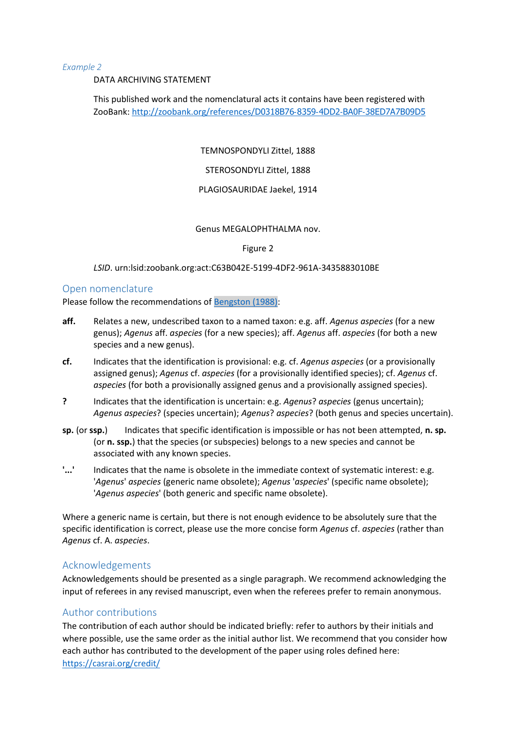#### *Example 2*

DATA ARCHIVING STATEMENT

This published work and the nomenclatural acts it contains have been registered with ZooBank: [http://zoobank.org/references/](http://zoobank.org/references/D0318B76-8359-4DD2-BA0F-38ED7A7B09D5)D0318B76-8359-4DD2-BA0F-[38ED7A7B09D5](http://zoobank.org/references/D0318B76-8359-4DD2-BA0F-38ED7A7B09D5)

TEMNOSPONDYLI Zittel, 1888

STEROSONDYLI Zittel, 1888

#### PLAGIOSAURIDAE Jaekel, 1914

#### Genus MEGALOPHTHALMA nov.

Figure 2

#### *LSID*. urn:lsid:zoobank.org:act:C63B042E-5199-4DF2-961A-3435883010BE

#### <span id="page-12-0"></span>Open nomenclature

Please follow the recommendations of [Bengston \(1988\):](http://cdn.palass.org/publications/palaeontology/volume_31/pdf/vol31_part1_pp223-227.pdf)

- **aff.** Relates a new, undescribed taxon to a named taxon: e.g. aff. *Agenus aspecies* (for a new genus); *Agenus* aff. *aspecies* (for a new species); aff. *Agenus* aff. *aspecies* (for both a new species and a new genus).
- **cf.** Indicates that the identification is provisional: e.g. cf. *Agenus aspecies* (or a provisionally assigned genus); *Agenus* cf. *aspecies* (for a provisionally identified species); cf. *Agenus* cf. *aspecies* (for both a provisionally assigned genus and a provisionally assigned species).
- **?** Indicates that the identification is uncertain: e.g. *Agenus*? *aspecies* (genus uncertain); *Agenus aspecies*? (species uncertain); *Agenus*? *aspecies*? (both genus and species uncertain).
- **sp.** (or **ssp.**) Indicates that specific identification is impossible or has not been attempted, **n. sp.** (or **n. ssp.**) that the species (or subspecies) belongs to a new species and cannot be associated with any known species.
- '...' Indicates that the name is obsolete in the immediate context of systematic interest: e.g. '*Agenus*' *aspecies* (generic name obsolete); *Agenus* '*aspecies*' (specific name obsolete); '*Agenus aspecies*' (both generic and specific name obsolete).

Where a generic name is certain, but there is not enough evidence to be absolutely sure that the specific identification is correct, please use the more concise form *Agenus* cf. *aspecies* (rather than *Agenus* cf. A. *aspecies*.

#### <span id="page-12-1"></span>Acknowledgements

Acknowledgements should be presented as a single paragraph. We recommend acknowledging the input of referees in any revised manuscript, even when the referees prefer to remain anonymous.

#### <span id="page-12-2"></span>Author contributions

The contribution of each author should be indicated briefly: refer to authors by their initials and where possible, use the same order as the initial author list. We recommend that you consider how each author has contributed to the development of the paper using roles defined here: <https://casrai.org/credit/>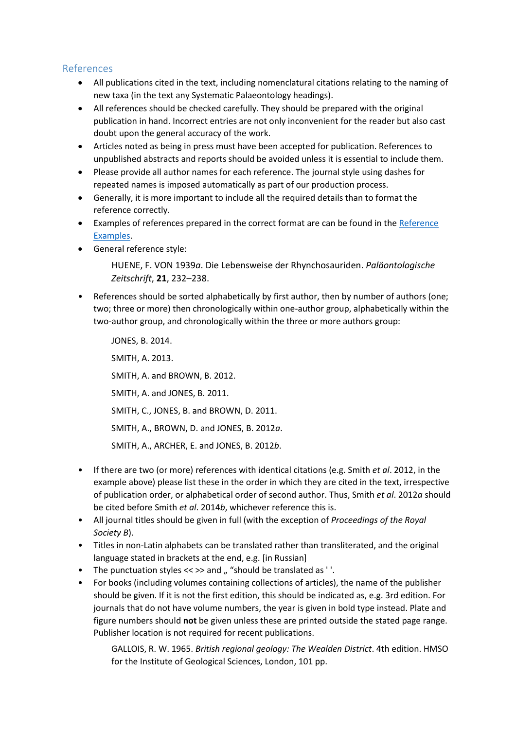# <span id="page-13-0"></span>References

- All publications cited in the text, including nomenclatural citations relating to the naming of new taxa (in the text any Systematic Palaeontology headings).
- All references should be checked carefully. They should be prepared with the original publication in hand. Incorrect entries are not only inconvenient for the reader but also cast doubt upon the general accuracy of the work.
- Articles noted as being in press must have been accepted for publication. References to unpublished abstracts and reports should be avoided unless it is essential to include them.
- Please provide all author names for each reference. The journal style using dashes for repeated names is imposed automatically as part of our production process.
- Generally, it is more important to include all the required details than to format the reference correctly.
- Examples of references prepared in the correct format are can be found in th[e Reference](https://www.palass.org/publications/palaeontology-journal#for-authors)  [Examples.](https://www.palass.org/publications/palaeontology-journal#for-authors)
- General reference style:

HUENE, F. VON 1939*a*. Die Lebensweise der Rhynchosauriden. *Paläontologische Zeitschrift*, **21**, 232–238.

• References should be sorted alphabetically by first author, then by number of authors (one; two; three or more) then chronologically within one-author group, alphabetically within the two-author group, and chronologically within the three or more authors group:

JONES, B. 2014. SMITH, A. 2013. SMITH, A. and BROWN, B. 2012. SMITH, A. and JONES, B. 2011. SMITH, C., JONES, B. and BROWN, D. 2011. SMITH, A., BROWN, D. and JONES, B. 2012*a*. SMITH, A., ARCHER, E. and JONES, B. 2012*b*.

- If there are two (or more) references with identical citations (e.g. Smith *et al*. 2012, in the example above) please list these in the order in which they are cited in the text, irrespective of publication order, or alphabetical order of second author. Thus, Smith *et al*. 2012*a* should be cited before Smith *et al*. 2014*b*, whichever reference this is.
- All journal titles should be given in full (with the exception of *Proceedings of the Royal Society B*).
- Titles in non-Latin alphabets can be translated rather than transliterated, and the original language stated in brackets at the end, e.g. [in Russian]
- The punctuation styles  $\ll \gg$  and  $\mu$  "should be translated as ''.
- For books (including volumes containing collections of articles), the name of the publisher should be given. If it is not the first edition, this should be indicated as, e.g. 3rd edition. For journals that do not have volume numbers, the year is given in bold type instead. Plate and figure numbers should **not** be given unless these are printed outside the stated page range. Publisher location is not required for recent publications.

GALLOIS, R. W. 1965. *British regional geology: The Wealden District*. 4th edition. HMSO for the Institute of Geological Sciences, London, 101 pp.